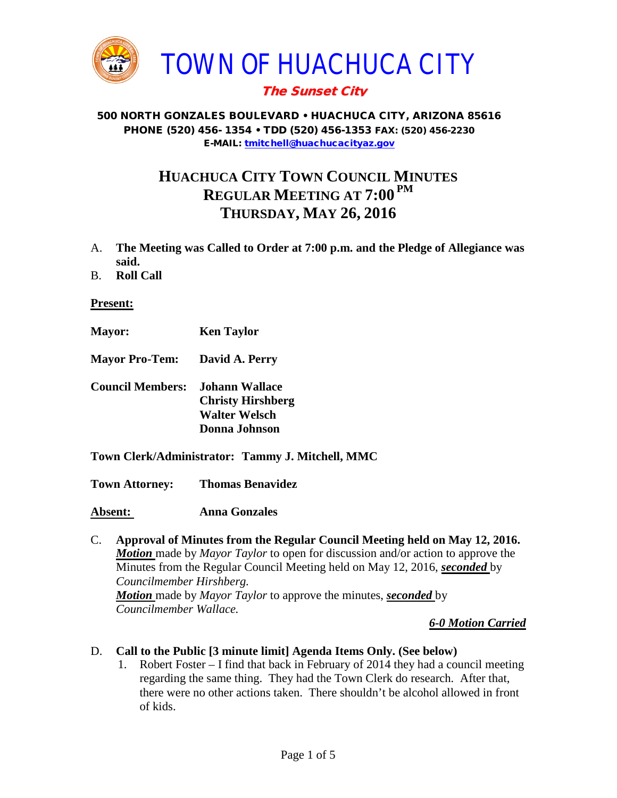

# The Sunset City

#### 500 NORTH GONZALES BOULEVARD • HUACHUCA CITY, ARIZONA 85616 PHONE (520) 456- 1354 • TDD (520) 456-1353 FAX: (520) 456-2230 E-MAIL: [tmitchell@huachucacityaz.gov](mailto:tmitchell@huachucacityaz.gov)

# **HUACHUCA CITY TOWN COUNCIL MINUTES REGULAR MEETING AT 7:00 PM THURSDAY, MAY 26, 2016**

- A. **The Meeting was Called to Order at 7:00 p.m. and the Pledge of Allegiance was said.**
- B. **Roll Call**

**Present:**

- **Mayor: Ken Taylor**
- **Mayor Pro-Tem: David A. Perry**
- **Council Members: Johann Wallace Christy Hirshberg Walter Welsch Donna Johnson**
- **Town Clerk/Administrator: Tammy J. Mitchell, MMC**

**Town Attorney: Thomas Benavidez**

**Absent: Anna Gonzales**

C. **Approval of Minutes from the Regular Council Meeting held on May 12, 2016.** *Motion* made by *Mayor Taylor* to open for discussion and/or action to approve the Minutes from the Regular Council Meeting held on May 12, 2016, *seconded* by *Councilmember Hirshberg. Motion* made by *Mayor Taylor* to approve the minutes, *seconded* by *Councilmember Wallace.*

*6-0 Motion Carried*

- D. **Call to the Public [3 minute limit] Agenda Items Only. (See below)**
	- 1. Robert Foster I find that back in February of 2014 they had a council meeting regarding the same thing. They had the Town Clerk do research. After that, there were no other actions taken. There shouldn't be alcohol allowed in front of kids.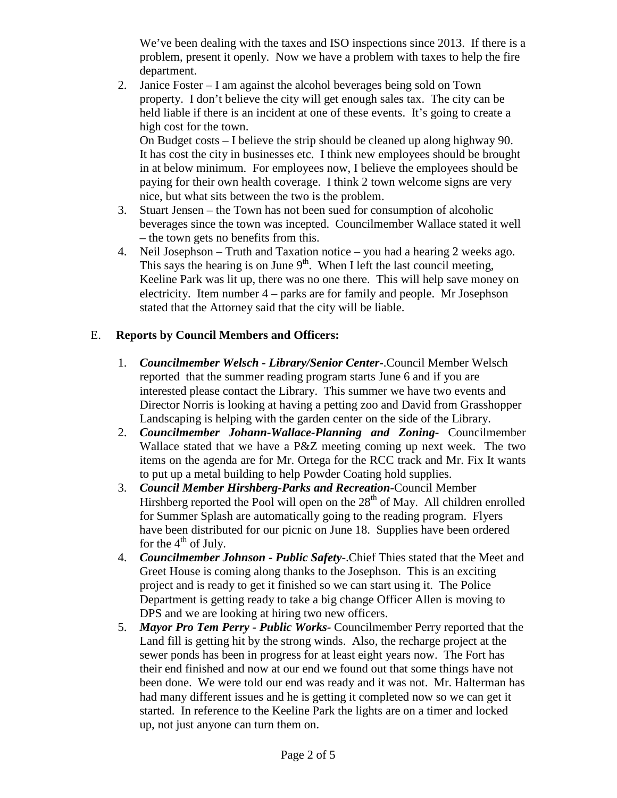We've been dealing with the taxes and ISO inspections since 2013. If there is a problem, present it openly. Now we have a problem with taxes to help the fire department.

2. Janice Foster – I am against the alcohol beverages being sold on Town property. I don't believe the city will get enough sales tax. The city can be held liable if there is an incident at one of these events. It's going to create a high cost for the town.

On Budget costs – I believe the strip should be cleaned up along highway 90. It has cost the city in businesses etc. I think new employees should be brought in at below minimum. For employees now, I believe the employees should be paying for their own health coverage. I think 2 town welcome signs are very nice, but what sits between the two is the problem.

- 3. Stuart Jensen the Town has not been sued for consumption of alcoholic beverages since the town was incepted. Councilmember Wallace stated it well – the town gets no benefits from this.
- 4. Neil Josephson Truth and Taxation notice you had a hearing 2 weeks ago. This says the hearing is on June  $9<sup>th</sup>$ . When I left the last council meeting, Keeline Park was lit up, there was no one there. This will help save money on electricity. Item number 4 – parks are for family and people. Mr Josephson stated that the Attorney said that the city will be liable.

## E. **Reports by Council Members and Officers:**

- 1. *Councilmember Welsch - Library/Senior Center***-**.Council Member Welsch reported that the summer reading program starts June 6 and if you are interested please contact the Library. This summer we have two events and Director Norris is looking at having a petting zoo and David from Grasshopper Landscaping is helping with the garden center on the side of the Library.
- 2. *Councilmember Johann-Wallace-Planning and Zoning***-** Councilmember Wallace stated that we have a P&Z meeting coming up next week. The two items on the agenda are for Mr. Ortega for the RCC track and Mr. Fix It wants to put up a metal building to help Powder Coating hold supplies.
- 3. *Council Member Hirshberg-Parks and Recreation***-**Council Member Hirshberg reported the Pool will open on the  $28<sup>th</sup>$  of May. All children enrolled for Summer Splash are automatically going to the reading program. Flyers have been distributed for our picnic on June 18. Supplies have been ordered for the  $4<sup>th</sup>$  of July.
- 4. *Councilmember Johnson - Public Safety-*.Chief Thies stated that the Meet and Greet House is coming along thanks to the Josephson. This is an exciting project and is ready to get it finished so we can start using it. The Police Department is getting ready to take a big change Officer Allen is moving to DPS and we are looking at hiring two new officers.
- 5. *Mayor Pro Tem Perry - Public Works-* Councilmember Perry reported that the Land fill is getting hit by the strong winds. Also, the recharge project at the sewer ponds has been in progress for at least eight years now. The Fort has their end finished and now at our end we found out that some things have not been done. We were told our end was ready and it was not. Mr. Halterman has had many different issues and he is getting it completed now so we can get it started. In reference to the Keeline Park the lights are on a timer and locked up, not just anyone can turn them on.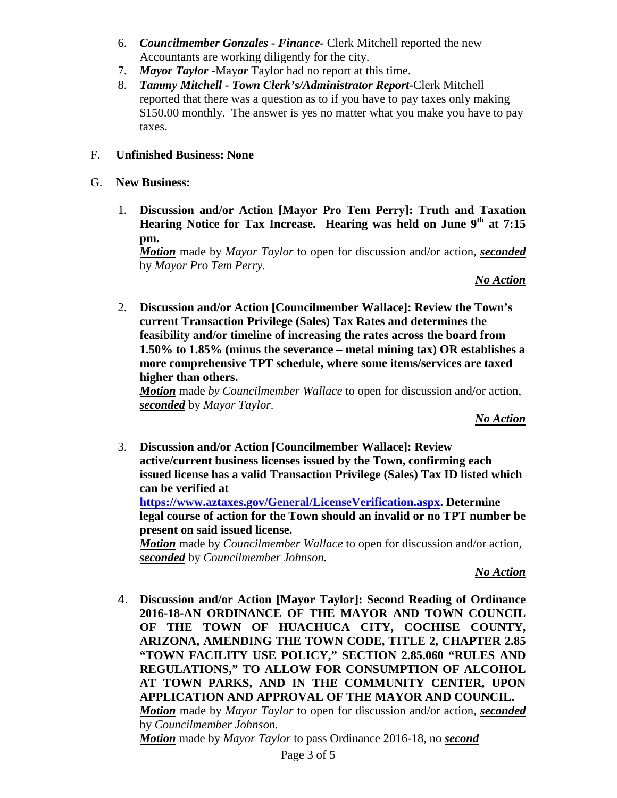- 6. *Councilmember Gonzales - Finance-* Clerk Mitchell reported the new Accountants are working diligently for the city.
- 7. *Mayor Taylor -*May*or* Taylor had no report at this time.
- 8. *Tammy Mitchell - Town Clerk's/Administrator Report-*Clerk Mitchell reported that there was a question as to if you have to pay taxes only making \$150.00 monthly. The answer is yes no matter what you make you have to pay taxes.

### F. **Unfinished Business: None**

### G. **New Business:**

1. **Discussion and/or Action [Mayor Pro Tem Perry]: Truth and Taxation Hearing Notice for Tax Increase. Hearing was held on June 9<sup>th</sup> at 7:15 pm.**

*Motion* made by *Mayor Taylor* to open for discussion and/or action, *seconded* by *Mayor Pro Tem Perry.*

#### *No Action*

2. **Discussion and/or Action [Councilmember Wallace]: Review the Town's current Transaction Privilege (Sales) Tax Rates and determines the feasibility and/or timeline of increasing the rates across the board from 1.50% to 1.85% (minus the severance – metal mining tax) OR establishes a more comprehensive TPT schedule, where some items/services are taxed higher than others.** 

*Motion* made *by Councilmember Wallace* to open for discussion and/or action, *seconded* by *Mayor Taylor.*

#### *No Action*

3. **Discussion and/or Action [Councilmember Wallace]: Review active/current business licenses issued by the Town, confirming each issued license has a valid Transaction Privilege (Sales) Tax ID listed which can be verified at** 

**[https://www.aztaxes.gov/General/LicenseVerification.aspx.](https://www.aztaxes.gov/General/LicenseVerification.aspx) Determine legal course of action for the Town should an invalid or no TPT number be present on said issued license.**

*Motion* made by *Councilmember Wallace* to open for discussion and/or action, *seconded* by *Councilmember Johnson.*

*No Action*

4. **Discussion and/or Action [Mayor Taylor]: Second Reading of Ordinance 2016-18-AN ORDINANCE OF THE MAYOR AND TOWN COUNCIL OF THE TOWN OF HUACHUCA CITY, COCHISE COUNTY, ARIZONA, AMENDING THE TOWN CODE, TITLE 2, CHAPTER 2.85 "TOWN FACILITY USE POLICY," SECTION 2.85.060 "RULES AND REGULATIONS," TO ALLOW FOR CONSUMPTION OF ALCOHOL AT TOWN PARKS, AND IN THE COMMUNITY CENTER, UPON APPLICATION AND APPROVAL OF THE MAYOR AND COUNCIL.** *Motion* made by *Mayor Taylor* to open for discussion and/or action, *seconded* by *Councilmember Johnson. Motion* made by *Mayor Taylor* to pass Ordinance 2016-18, no *second*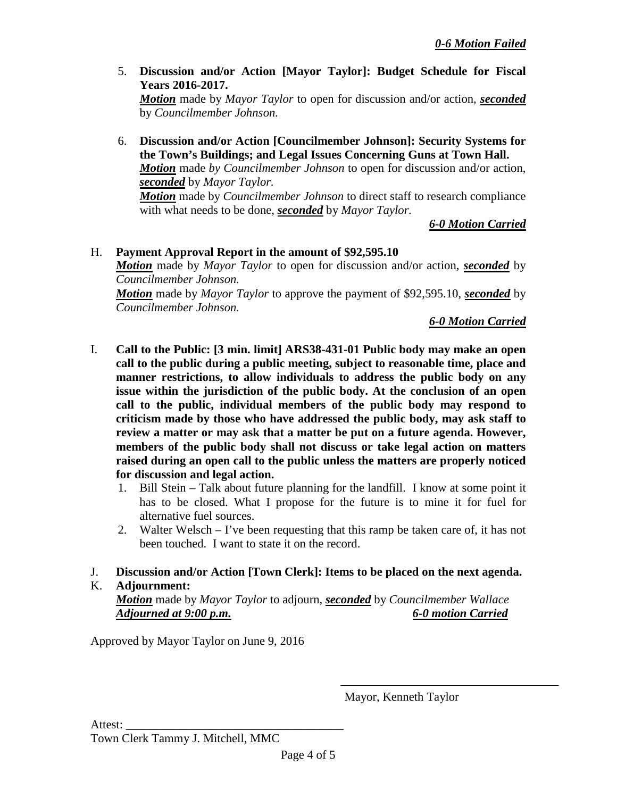5. **Discussion and/or Action [Mayor Taylor]: Budget Schedule for Fiscal Years 2016-2017.** 

*Motion* made by *Mayor Taylor* to open for discussion and/or action, *seconded* by *Councilmember Johnson.*

6. **Discussion and/or Action [Councilmember Johnson]: Security Systems for the Town's Buildings; and Legal Issues Concerning Guns at Town Hall.** *Motion* made *by Councilmember Johnson* to open for discussion and/or action, *seconded* by *Mayor Taylor.*

*Motion* made by *Councilmember Johnson* to direct staff to research compliance with what needs to be done, *seconded* by *Mayor Taylor.*

*6-0 Motion Carried*

## H. **Payment Approval Report in the amount of \$92,595.10**

*Motion* made by *Mayor Taylor* to open for discussion and/or action, *seconded* by *Councilmember Johnson.*

*Motion* made by *Mayor Taylor* to approve the payment of \$92,595.10, *seconded* by *Councilmember Johnson.*

*6-0 Motion Carried*

- I. **Call to the Public: [3 min. limit] ARS38-431-01 Public body may make an open call to the public during a public meeting, subject to reasonable time, place and manner restrictions, to allow individuals to address the public body on any issue within the jurisdiction of the public body. At the conclusion of an open call to the public, individual members of the public body may respond to criticism made by those who have addressed the public body, may ask staff to review a matter or may ask that a matter be put on a future agenda. However, members of the public body shall not discuss or take legal action on matters raised during an open call to the public unless the matters are properly noticed for discussion and legal action.**
	- 1. Bill Stein Talk about future planning for the landfill. I know at some point it has to be closed. What I propose for the future is to mine it for fuel for alternative fuel sources.
	- 2. Walter Welsch I've been requesting that this ramp be taken care of, it has not been touched. I want to state it on the record.
- J. **Discussion and/or Action [Town Clerk]: Items to be placed on the next agenda.**

### K. **Adjournment:**

*Motion* made by *Mayor Taylor* to adjourn, *seconded* by *Councilmember Wallace Adjourned at 9:00 p.m. 6-0 motion Carried*

Approved by Mayor Taylor on June 9, 2016

Mayor, Kenneth Taylor